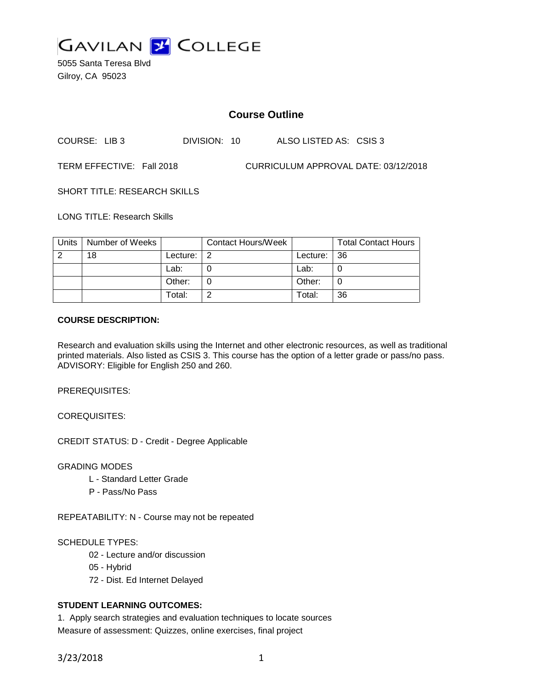

5055 Santa Teresa Blvd Gilroy, CA 95023

# **Course Outline**

COURSE: LIB 3 DIVISION: 10 ALSO LISTED AS: CSIS 3

TERM EFFECTIVE: Fall 2018 CURRICULUM APPROVAL DATE: 03/12/2018

SHORT TITLE: RESEARCH SKILLS

LONG TITLE: Research Skills

| Units | Number of Weeks |          | <b>Contact Hours/Week</b> |          | <b>Total Contact Hours</b> |
|-------|-----------------|----------|---------------------------|----------|----------------------------|
|       | 18              | Lecture: | ່າ                        | Lecture: | $\overline{36}$            |
|       |                 | Lab:     |                           | Lab:     |                            |
|       |                 | Other:   |                           | Other:   | 0                          |
|       |                 | Total:   |                           | Total:   | 36                         |

### **COURSE DESCRIPTION:**

Research and evaluation skills using the Internet and other electronic resources, as well as traditional printed materials. Also listed as CSIS 3. This course has the option of a letter grade or pass/no pass. ADVISORY: Eligible for English 250 and 260.

PREREQUISITES:

COREQUISITES:

CREDIT STATUS: D - Credit - Degree Applicable

#### GRADING MODES

- L Standard Letter Grade
- P Pass/No Pass

REPEATABILITY: N - Course may not be repeated

#### SCHEDULE TYPES:

- 02 Lecture and/or discussion
- 05 Hybrid
- 72 Dist. Ed Internet Delayed

## **STUDENT LEARNING OUTCOMES:**

1. Apply search strategies and evaluation techniques to locate sources Measure of assessment: Quizzes, online exercises, final project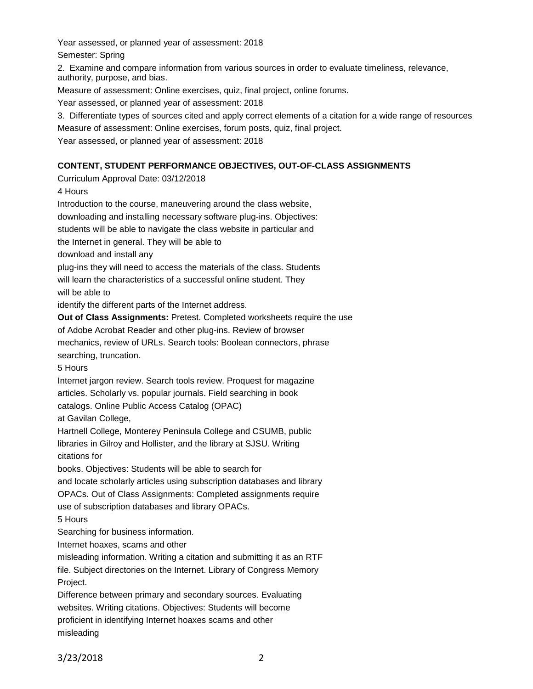Year assessed, or planned year of assessment: 2018 Semester: Spring

2. Examine and compare information from various sources in order to evaluate timeliness, relevance, authority, purpose, and bias.

Measure of assessment: Online exercises, quiz, final project, online forums.

Year assessed, or planned year of assessment: 2018

3. Differentiate types of sources cited and apply correct elements of a citation for a wide range of resources

Measure of assessment: Online exercises, forum posts, quiz, final project.

Year assessed, or planned year of assessment: 2018

# **CONTENT, STUDENT PERFORMANCE OBJECTIVES, OUT-OF-CLASS ASSIGNMENTS**

Curriculum Approval Date: 03/12/2018 4 Hours Introduction to the course, maneuvering around the class website, downloading and installing necessary software plug-ins. Objectives: students will be able to navigate the class website in particular and the Internet in general. They will be able to download and install any plug-ins they will need to access the materials of the class. Students will learn the characteristics of a successful online student. They will be able to identify the different parts of the Internet address. **Out of Class Assignments:** Pretest. Completed worksheets require the use of Adobe Acrobat Reader and other plug-ins. Review of browser mechanics, review of URLs. Search tools: Boolean connectors, phrase searching, truncation. 5 Hours Internet jargon review. Search tools review. Proquest for magazine articles. Scholarly vs. popular journals. Field searching in book catalogs. Online Public Access Catalog (OPAC) at Gavilan College, Hartnell College, Monterey Peninsula College and CSUMB, public libraries in Gilroy and Hollister, and the library at SJSU. Writing citations for books. Objectives: Students will be able to search for and locate scholarly articles using subscription databases and library OPACs. Out of Class Assignments: Completed assignments require use of subscription databases and library OPACs. 5 Hours Searching for business information. Internet hoaxes, scams and other misleading information. Writing a citation and submitting it as an RTF file. Subject directories on the Internet. Library of Congress Memory Project. Difference between primary and secondary sources. Evaluating websites. Writing citations. Objectives: Students will become proficient in identifying Internet hoaxes scams and other misleading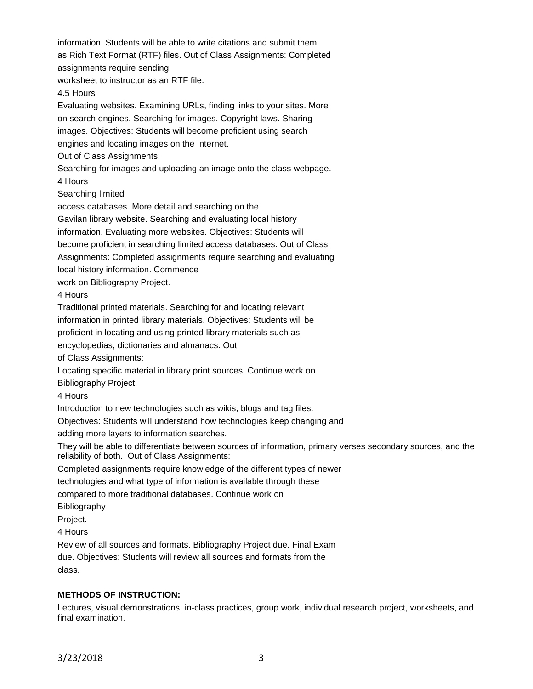information. Students will be able to write citations and submit them as Rich Text Format (RTF) files. Out of Class Assignments: Completed assignments require sending worksheet to instructor as an RTF file. 4.5 Hours Evaluating websites. Examining URLs, finding links to your sites. More on search engines. Searching for images. Copyright laws. Sharing images. Objectives: Students will become proficient using search engines and locating images on the Internet. Out of Class Assignments: Searching for images and uploading an image onto the class webpage. 4 Hours Searching limited access databases. More detail and searching on the Gavilan library website. Searching and evaluating local history information. Evaluating more websites. Objectives: Students will become proficient in searching limited access databases. Out of Class Assignments: Completed assignments require searching and evaluating local history information. Commence work on Bibliography Project. 4 Hours Traditional printed materials. Searching for and locating relevant information in printed library materials. Objectives: Students will be proficient in locating and using printed library materials such as encyclopedias, dictionaries and almanacs. Out of Class Assignments: Locating specific material in library print sources. Continue work on Bibliography Project. 4 Hours Introduction to new technologies such as wikis, blogs and tag files. Objectives: Students will understand how technologies keep changing and adding more layers to information searches. They will be able to differentiate between sources of information, primary verses secondary sources, and the reliability of both. Out of Class Assignments: Completed assignments require knowledge of the different types of newer technologies and what type of information is available through these compared to more traditional databases. Continue work on Bibliography Project. 4 Hours Review of all sources and formats. Bibliography Project due. Final Exam due. Objectives: Students will review all sources and formats from the class. **METHODS OF INSTRUCTION:**

Lectures, visual demonstrations, in-class practices, group work, individual research project, worksheets, and final examination.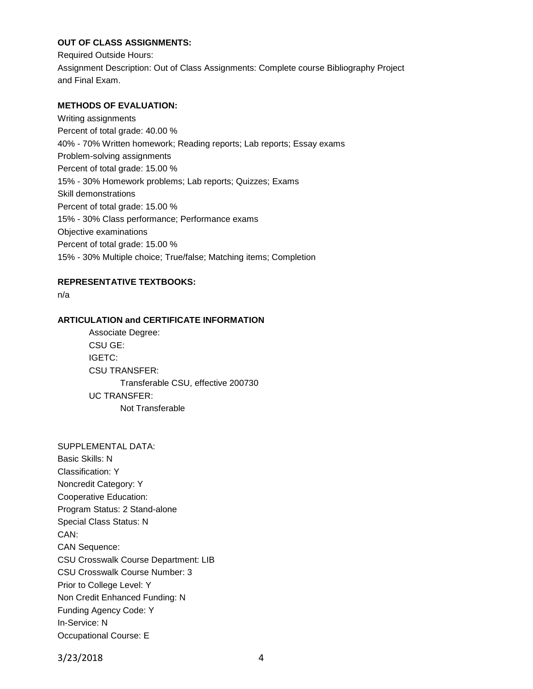## **OUT OF CLASS ASSIGNMENTS:**

Required Outside Hours: Assignment Description: Out of Class Assignments: Complete course Bibliography Project and Final Exam.

### **METHODS OF EVALUATION:**

Writing assignments Percent of total grade: 40.00 % 40% - 70% Written homework; Reading reports; Lab reports; Essay exams Problem-solving assignments Percent of total grade: 15.00 % 15% - 30% Homework problems; Lab reports; Quizzes; Exams Skill demonstrations Percent of total grade: 15.00 % 15% - 30% Class performance; Performance exams Objective examinations Percent of total grade: 15.00 % 15% - 30% Multiple choice; True/false; Matching items; Completion

## **REPRESENTATIVE TEXTBOOKS:**

n/a

### **ARTICULATION and CERTIFICATE INFORMATION**

Associate Degree: CSU GE: IGETC: CSU TRANSFER: Transferable CSU, effective 200730 UC TRANSFER: Not Transferable

SUPPLEMENTAL DATA: Basic Skills: N Classification: Y Noncredit Category: Y Cooperative Education: Program Status: 2 Stand-alone Special Class Status: N CAN: CAN Sequence: CSU Crosswalk Course Department: LIB CSU Crosswalk Course Number: 3 Prior to College Level: Y Non Credit Enhanced Funding: N Funding Agency Code: Y In-Service: N Occupational Course: E

3/23/2018 4